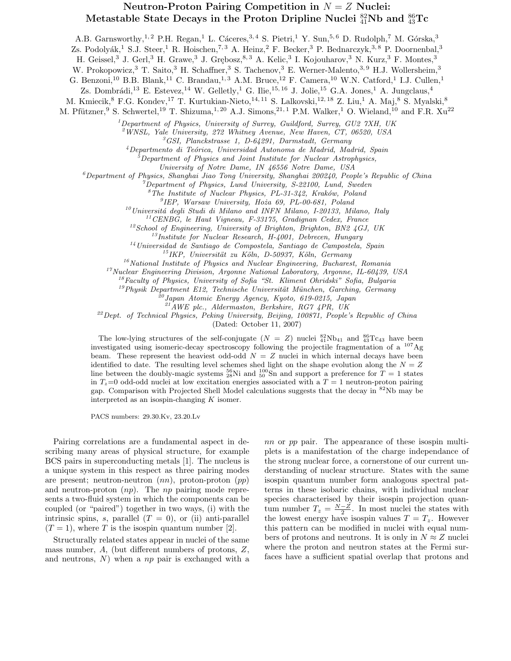## Neutron-Proton Pairing Competition in  $N = Z$  Nuclei: Metastable State Decays in the Proton Dripline Nuclei  $^{82}_{41}$ Nb and  $^{86}_{43}$ Tc

A.B. Garnsworthy,<sup>1,2</sup> P.H. Regan,<sup>1</sup> L. Cáceres,<sup>3,4</sup> S. Pietri,<sup>1</sup> Y. Sun,<sup>5,6</sup> D. Rudolph,<sup>7</sup> M. Górska,<sup>3</sup>

Zs. Podolyák,<sup>1</sup> S.J. Steer,<sup>1</sup> R. Hoischen,<sup>7, 3</sup> A. Heinz,<sup>2</sup> F. Becker,<sup>3</sup> P. Bednarczyk,<sup>3,8</sup> P. Doornenbal,<sup>3</sup>

H. Geissel,<sup>3</sup> J. Gerl,<sup>3</sup> H. Grawe,<sup>3</sup> J. Grębosz,<sup>8,3</sup> A. Kelic,<sup>3</sup> I. Kojouharov,<sup>3</sup> N. Kurz,<sup>3</sup> F. Montes,<sup>3</sup>

W. Prokopowicz,<sup>3</sup> T. Saito,<sup>3</sup> H. Schaffner,<sup>3</sup> S. Tachenov,<sup>3</sup> E. Werner-Malento,<sup>3,9</sup> H.J. Wollersheim,<sup>3</sup>

G. Benzoni,<sup>10</sup> B.B. Blank,<sup>11</sup> C. Brandau,<sup>1,3</sup> A.M. Bruce,<sup>12</sup> F. Camera,<sup>10</sup> W.N. Catford,<sup>1</sup> I.J. Cullen,<sup>1</sup>

Zs. Dombrádi,<sup>13</sup> E. Estevez,<sup>14</sup> W. Gelletly,<sup>1</sup> G. Ilie,<sup>15, 16</sup> J. Jolie,<sup>15</sup> G.A. Jones,<sup>1</sup> A. Jungclaus,<sup>4</sup>

M. Kmiecik, <sup>8</sup> F.G. Kondev, <sup>17</sup> T. Kurtukian-Nieto, <sup>14, 11</sup> S. Lalkovski, <sup>12, 18</sup> Z. Liu, <sup>1</sup> A. Maj, <sup>8</sup> S. Myalski, <sup>8</sup>

M. Pfützner,<sup>9</sup> S. Schwertel,<sup>19</sup> T. Shizuma,<sup>1, 20</sup> A.J. Simons,<sup>21,1</sup> P.M. Walker,<sup>1</sup> O. Wieland,<sup>10</sup> and F.R. Xu<sup>22</sup>

 $1$ Department of Physics, University of Surrey, Guildford, Surrey, GU2  $7XH$ , UK

 $^{2}$ WNSL, Yale University, 272 Whitney Avenue, New Haven, CT, 06520, USA

 ${}^{3}GSI$ , Planckstrasse 1, D-64291, Darmstadt, Germany

 $4$ Departmento di Teórica, Universidad Autonoma de Madrid, Madrid, Spain

<sup>5</sup>Department of Physics and Joint Institute for Nuclear Astrophysics,

University of Notre Dame, IN 46556 Notre Dame, USA

 $^6$ Department of Physics, Shanghai Jiao Tong University, Shanghai 200240, People's Republic of China

 $^7$ Department of Physics, Lund University, S-22100, Lund, Sweden

 $8$ The Institute of Nuclear Physics, PL-31-342, Kraków, Poland

9 IEP, Warsaw University, Hoza˙ 69, PL-00-681, Poland

 $10$ Universitá degli Studi di Milano and INFN Milano, I-20133, Milano, Italy

<sup>11</sup>CENBG, le Haut Vigneau, F-33175, Gradignan Cedex, France

 $12$ School of Engineering, University of Brighton, Brighton, BN2 4GJ, UK

<sup>13</sup>Institute for Nuclear Research, H-4001, Debrecen, Hungary

 $14$ Universidad de Santiago de Compostela, Santiago de Campostela, Spain

 $^{15}$ IKP, Universität zu Köln, D-50937, Köln, Germany

 $16$ National Institute of Physics and Nuclear Engineering, Bucharest, Romania

<sup>17</sup>Nuclear Engineering Division, Argonne National Laboratory, Argonne, IL-60439, USA  $^{18}$ Faculty of Physics, University of Sofia "St. Kliment Ohridski" Sofia, Bulgaria

 $^{19}$ Physik Department E12, Technische Universität München, Garching, Germany

 $^{20}$ Japan Atomic Energy Agency, Kyoto, 619-0215, Japan

 $^{21}$ AWE plc., Aldermaston, Berkshire, RG7 4PR, UK

 $^{22}$ Dept. of Technical Physics, Peking University, Beijing, 100871, People's Republic of China

(Dated: October 11, 2007)

The low-lying structures of the self-conjugate  $(N = Z)$  nuclei  $^{82}_{41}Nb_{41}$  and  $^{86}_{43}Tc_{43}$  have been investigated using isomeric-decay spectroscopy following the projectile fragmentation of a <sup>107</sup>Ag beam. These represent the heaviest odd-odd  $N = Z$  nuclei in which internal decays have been identified to date. The resulting level schemes shed light on the shape evolution along the  $N = Z$ line between the doubly-magic systems  $^{56}_{28}$ Ni and  $^{100}_{50}$ Sn and support a preference for  $T = 1$  states in  $T_z=0$  odd-odd nuclei at low excitation energies associated with a  $T = 1$  neutron-proton pairing gap. Comparison with Projected Shell Model calculations suggests that the decay in  $82Nb$  may be interpreted as an isospin-changing  $K$  isomer.

PACS numbers: 29.30.Kv, 23.20.Lv

Pairing correlations are a fundamental aspect in describing many areas of physical structure, for example BCS pairs in superconducting metals [1]. The nucleus is a unique system in this respect as three pairing modes are present; neutron-neutron  $(nn)$ , proton-proton  $(pp)$ and neutron-proton  $(np)$ . The np pairing mode represents a two-fluid system in which the components can be coupled (or "paired") together in two ways, (i) with the intrinsic spins, s, parallel  $(T = 0)$ , or (ii) anti-parallel  $(T = 1)$ , where T is the isospin quantum number [2].

Structurally related states appear in nuclei of the same mass number, A, (but different numbers of protons, Z, and neutrons,  $N$ ) when a  $np$  pair is exchanged with a

nn or pp pair. The appearance of these isospin multiplets is a manifestation of the charge independance of the strong nuclear force, a cornerstone of our current understanding of nuclear structure. States with the same isospin quantum number form analogous spectral patterns in these isobaric chains, with individual nuclear species characterised by their isospin projection quantum number  $T_z = \frac{N - \tilde{Z}}{2}$ . In most nuclei the states with the lowest energy have isospin values  $T = T_z$ . However this pattern can be modified in nuclei with equal numbers of protons and neutrons. It is only in  $N \approx Z$  nuclei where the proton and neutron states at the Fermi surfaces have a sufficient spatial overlap that protons and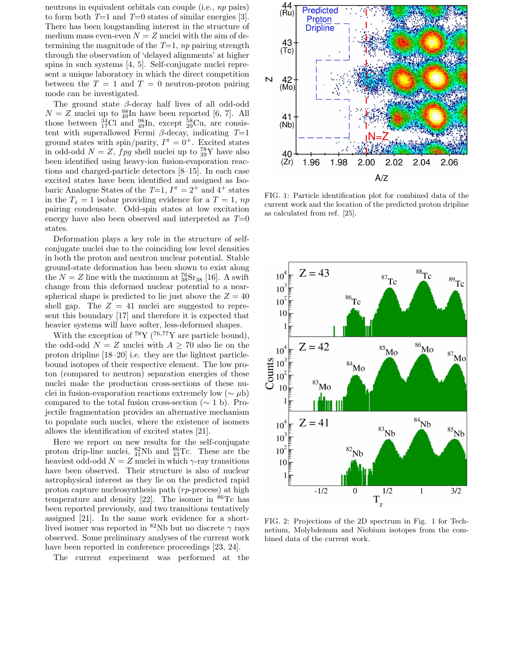neutrons in equivalent orbitals can couple (i.e., np pairs) to form both  $T=1$  and  $T=0$  states of similar energies [3]. There has been longstanding interest in the structure of medium mass even-even  $N = Z$  nuclei with the aim of determining the magnitude of the  $T=1$ , np pairing strength through the observation of 'delayed alignments' at higher spins in such systems [4, 5]. Self-conjugate nuclei represent a unique laboratory in which the direct competition between the  $T = 1$  and  $T = 0$  neutron-proton pairing mode can be investigated.

The ground state  $\beta$ -decay half lives of all odd-odd  $N = Z$  nuclei up to  $^{98}_{49}$ In have been reported [6, 7]. All those between  $^{34}_{17}$ Cl and  $^{98}_{49}$ In, except  $^{58}_{29}$ Cu, are consistent with superallowed Fermi  $\beta$ -decay, indicating  $T=1$ ground states with spin/parity,  $I^{\pi} = 0^{+}$ . Excited states in odd-odd  $N = Z$ ,  $fpg$  shell nuclei up to  $^{78}_{39}Y$  have also been identified using heavy-ion fusion-evaporation reactions and charged-particle detectors [8–15]. In each case excited states have been identified and assigned as Isobaric Analogue States of the  $T=1$ ,  $I^{\pi} = 2^{+}$  and  $4^{+}$  states in the  $T_z = 1$  isobar providing evidence for a  $T = 1$ , np pairing condensate. Odd-spin states at low excitation energy have also been observed and interpreted as  $T=0$ states.

Deformation plays a key role in the structure of selfconjugate nuclei due to the coinciding low level densities in both the proton and neutron nuclear potential. Stable ground-state deformation has been shown to exist along the  $N = Z$  line with the maximum at  ${}^{76}_{38}Sr_{38}$  [16]. A swift change from this deformed nuclear potential to a nearspherical shape is predicted to lie just above the  $Z = 40$ shell gap. The  $Z = 41$  nuclei are suggested to represent this boundary [17] and therefore it is expected that heavier systems will have softer, less-deformed shapes.

With the exception of  ${}^{78}Y$  ( ${}^{76,77}Y$  are particle bound), the odd-odd  $N = Z$  nuclei with  $A > 70$  also lie on the proton dripline [18–20] i.e. they are the lightest particlebound isotopes of their respective element. The low proton (compared to neutron) separation energies of these nuclei make the production cross-sections of these nuclei in fusion-evaporation reactions extremely low ( $\sim \mu b$ ) compared to the total fusion cross-section ( $\sim 1$  b). Projectile fragmentation provides an alternative mechanism to populate such nuclei, where the existence of isomers allows the identification of excited states [21].

Here we report on new results for the self-conjugate proton drip-line nuclei,  $^{82}_{41}Nb$  and  $^{86}_{43}Tc$ . These are the heaviest odd-odd  $N=Z$  nuclei in which  $\gamma$ -ray transitions have been observed. Their structure is also of nuclear astrophysical interest as they lie on the predicted rapid proton capture nucleosynthesis path (rp-process) at high temperature and density [22]. The isomer in  ${}^{86}$ Tc has been reported previously, and two transitions tentatively assigned [21]. In the same work evidence for a shortlived isomer was reported in  ${}^{82}\text{Nb}$  but no discrete  $\gamma$  rays observed. Some preliminary analyses of the current work have been reported in conference proceedings [23, 24].

The current experiment was performed at the



FIG. 1: Particle identification plot for combined data of the current work and the location of the predicted proton dripline as calculated from ref. [25].



FIG. 2: Projections of the 2D spectrum in Fig. 1 for Technetium, Molybdenum and Niobium isotopes from the combined data of the current work.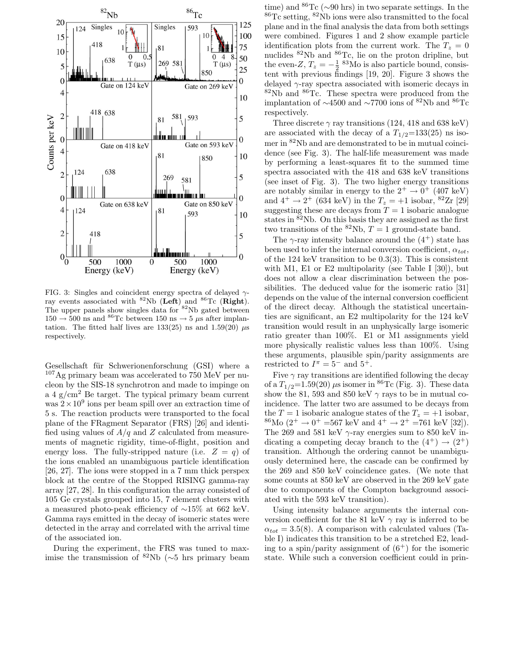

FIG. 3: Singles and coincident energy spectra of delayed  $\gamma$ ray events associated with  ${}^{82}Nb$  (Left) and  ${}^{86}Tc$  (Right). The upper panels show singles data for <sup>82</sup>Nb gated between  $150 \rightarrow 500$  ns and <sup>86</sup>Tc between 150 ns  $\rightarrow 5 \mu s$  after implantation. The fitted half lives are  $133(25)$  ns and  $1.59(20)$   $\mu$ s respectively.

Gesellschaft für Schwerionenforschung (GSI) where a  $107\text{Ag primary beam was accelerated to } 750 \text{ MeV per nu-}$ cleon by the SIS-18 synchrotron and made to impinge on a 4  $g/cm<sup>2</sup>$  Be target. The typical primary beam current was  $2 \times 10^9$  ions per beam spill over an extraction time of 5 s. The reaction products were transported to the focal plane of the FRagment Separator (FRS) [26] and identified using values of  $A/q$  and Z calculated from measurements of magnetic rigidity, time-of-flight, position and energy loss. The fully-stripped nature (i.e.  $Z = q$ ) of the ions enabled an unambiguous particle identification [26, 27]. The ions were stopped in a 7 mm thick perspex block at the centre of the Stopped RISING gamma-ray array [27, 28]. In this configuration the array consisted of 105 Ge crystals grouped into 15, 7 element clusters with a measured photo-peak efficiency of ∼15% at 662 keV. Gamma rays emitted in the decay of isomeric states were detected in the array and correlated with the arrival time of the associated ion.

During the experiment, the FRS was tuned to maximise the transmission of <sup>82</sup>Nb ( $\sim$ 5 hrs primary beam

time) and  ${}^{86}\text{Tc}$  (∼90 hrs) in two separate settings. In the <sup>86</sup>Tc setting, <sup>82</sup>Nb ions were also transmitted to the focal plane and in the final analysis the data from both settings were combined. Figures 1 and 2 show example particle identification plots from the current work. The  $T_z = 0$ nuclides <sup>82</sup>Nb and <sup>86</sup>Tc, lie on the proton dripline, but the even-Z,  $T_z = -\frac{1}{2}$  <sup>83</sup>Mo is also particle bound, consistent with previous findings [19, 20]. Figure 3 shows the delayed  $\gamma$ -ray spectra associated with isomeric decays in  $82Nb$  and  $86Te$ . These spectra were produced from the implantation of  $\sim$ 4500 and  $\sim$ 7700 ions of <sup>82</sup>Nb and <sup>86</sup>Tc respectively.

Three discrete  $\gamma$  ray transitions (124, 418 and 638 keV) are associated with the decay of a  $T_{1/2}$ =133(25) ns isomer in <sup>82</sup>Nb and are demonstrated to be in mutual coincidence (see Fig. 3). The half-life measurement was made by performing a least-squares fit to the summed time spectra associated with the 418 and 638 keV transitions (see inset of Fig. 3). The two higher energy transitions are notably similar in energy to the  $2^+ \rightarrow 0^+$  (407 keV) and  $4^+ \rightarrow 2^+$  (634 keV) in the  $T_z = +1$  isobar, <sup>82</sup>Zr [29] suggesting these are decays from  $T = 1$  isobaric analogue states in <sup>82</sup>Nb. On this basis they are assigned as the first two transitions of the  ${}^{82}Nb$ ,  $T=1$  ground-state band.

The  $\gamma$ -ray intensity balance around the  $(4^+)$  state has been used to infer the internal conversion coefficient,  $\alpha_{tot}$ , of the 124 keV transition to be 0.3(3). This is consistent with M1, E1 or E2 multipolarity (see Table I  $[30]$ ), but does not allow a clear discrimination between the possibilities. The deduced value for the isomeric ratio [31] depends on the value of the internal conversion coefficient of the direct decay. Although the statistical uncertainties are significant, an E2 multipolarity for the 124 keV transition would result in an unphysically large isomeric ratio greater than 100%. E1 or M1 assignments yield more physically realistic values less than 100%. Using these arguments, plausible spin/parity assignments are restricted to  $I^{\pi} = 5^-$  and  $5^+$ .

Five  $\gamma$  ray transitions are identified following the decay of a  $T_{1/2}$ =1.59(20)  $\mu$ s isomer in <sup>86</sup>Tc (Fig. 3). These data show the 81, 593 and 850 keV  $\gamma$  rays to be in mutual coincidence. The latter two are assumed to be decays from the  $T = 1$  isobaric analogue states of the  $T_z = +1$  isobar,  ${}^{86}\text{Mo}$  (2<sup>+</sup>  $\rightarrow$  0<sup>+</sup> =567 keV and 4<sup>+</sup>  $\rightarrow$  2<sup>+</sup> =761 keV [32]). The 269 and 581 keV  $\gamma$ -ray energies sum to 850 keV indicating a competing decay branch to the  $(4^+) \rightarrow (2^+)$ transition. Although the ordering cannot be unambiguously determined here, the cascade can be confirmed by the 269 and 850 keV coincidence gates. (We note that some counts at 850 keV are observed in the 269 keV gate due to components of the Compton background associated with the 593 keV transition).

Using intensity balance arguments the internal conversion coefficient for the 81 keV  $\gamma$  ray is inferred to be  $\alpha_{tot} = 3.5(8)$ . A comparison with calculated values (Table I) indicates this transition to be a stretched E2, leading to a spin/parity assignment of  $(6^+)$  for the isomeric state. While such a conversion coefficient could in prin-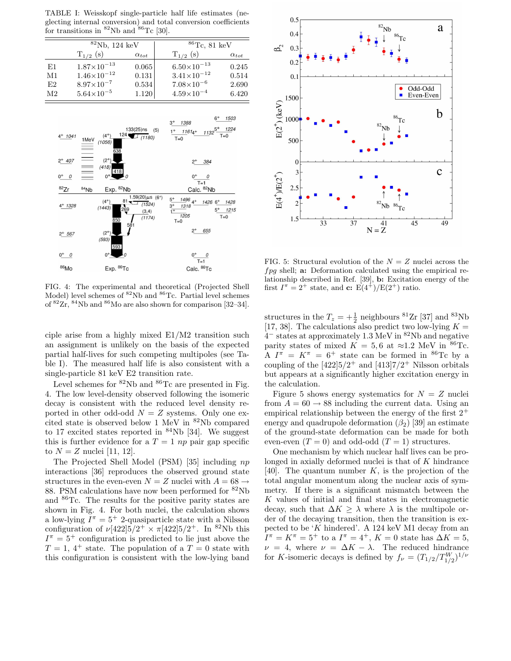TABLE I: Weisskopf single-particle half life estimates (neglecting internal conversion) and total conversion coefficients for transitions in  ${}^{82}$ Nb and  ${}^{86}$ Tc [30].

|                | ${}^{82}Nb$ , 124 keV |                | ${}^{86}$ Tc, 81 keV   |                |
|----------------|-----------------------|----------------|------------------------|----------------|
|                | $T_{1/2}$ (s)         | $\alpha_{tot}$ | $T_{1/2}$ (s)          | $\alpha_{tot}$ |
| E1             | $1.87\times10^{-13}$  | 0.065          | $6.50\times10^{-13}$   | 0.245          |
| M1             | $1.46\times10^{-12}$  | 0.131          | $3.41 \times 10^{-12}$ | 0.514          |
| E2             | $8.97\times10^{-7}$   | 0.534          | $7.08\times10^{-6}$    | 2.690          |
| M <sub>2</sub> | $5.64\times10^{-5}$   | 1.120          | $4.59\times10^{-4}$    | 6.420          |



FIG. 4: The experimental and theoretical (Projected Shell Model) level schemes of <sup>82</sup>Nb and <sup>86</sup>Tc. Partial level schemes of  ${}^{82}Zr, {}^{84}Nb$  and  ${}^{86}Mo$  are also shown for comparison [32–34].

ciple arise from a highly mixed E1/M2 transition such an assignment is unlikely on the basis of the expected partial half-lives for such competing multipoles (see Table I). The measured half life is also consistent with a single-particle 81 keV E2 transition rate.

Level schemes for  ${}^{82}$ Nb and  ${}^{86}$ Tc are presented in Fig. 4. The low level-density observed following the isomeric decay is consistent with the reduced level density reported in other odd-odd  $N = Z$  systems. Only one excited state is observed below 1 MeV in  ${}^{82}$ Nb compared to 17 excited states reported in  $84Nb$  [34]. We suggest this is further evidence for a  $T = 1 np$  pair gap specific to  $N = Z$  nuclei [11, 12].

The Projected Shell Model (PSM) [35] including np interactions [36] reproduces the observed ground state structures in the even-even  $N=Z$  nuclei with  $A=68\rightarrow$ 88. PSM calculations have now been performed for <sup>82</sup>Nb and <sup>86</sup>Tc. The results for the positive parity states are shown in Fig. 4. For both nuclei, the calculation shows a low-lying  $I^{\pi} = 5^+$  2-quasiparticle state with a Nilsson configuration of  $\nu[422]5/2^+ \times \pi[422]5/2^+$ . In <sup>82</sup>Nb this  $I^{\pi} = 5^+$  configuration is predicted to lie just above the  $T = 1, 4^+$  state. The population of a  $T = 0$  state with this configuration is consistent with the low-lying band



FIG. 5: Structural evolution of the  $N = Z$  nuclei across the fpg shell; a: Deformation calculated using the empirical relationship described in Ref. [39], b: Excitation energy of the first  $I^{\pi} = 2^{+}$  state, and **c:**  $E(4^{+})/E(2^{+})$  ratio.

structures in the  $T_z = +\frac{1}{2}$  neighbours <sup>81</sup>Zr [37] and <sup>83</sup>Nb [17, 38]. The calculations also predict two low-lying  $K =$ 4 <sup>−</sup> states at approximately 1.3 MeV in <sup>82</sup>Nb and negative parity states of mixed  $K = 5, 6$  at  $\approx 1.2$  MeV in <sup>86</sup>Tc. A  $I^{\pi} = K^{\pi} = 6^+$  state can be formed in <sup>86</sup>Tc by a coupling of the  $[422]5/2^+$  and  $[413]7/2^+$  Nilsson orbitals but appears at a significantly higher excitation energy in the calculation.

Figure 5 shows energy systematics for  $N = Z$  nuclei from  $A = 60 \rightarrow 88$  including the current data. Using an empirical relationship between the energy of the first  $2^+$ energy and quadrupole deformation  $(\beta_2)$  [39] an estimate of the ground-state deformation can be made for both even-even  $(T = 0)$  and odd-odd  $(T = 1)$  structures.

One mechanism by which nuclear half lives can be prolonged in axially deformed nuclei is that of  $K$  hindrance [40]. The quantum number  $K$ , is the projection of the total angular momentum along the nuclear axis of symmetry. If there is a significant mismatch between the K values of initial and final states in electromagnetic decay, such that  $\Delta K \geq \lambda$  where  $\lambda$  is the multipole order of the decaying transition, then the transition is expected to be 'K hindered'. A 124 keV M1 decay from an  $I^{\pi} = K^{\pi} = 5^+$  to a  $I^{\pi} = 4^+, K = 0$  state has  $\Delta K = 5$ ,  $\nu = 4$ , where  $\nu = \Delta K - \lambda$ . The reduced hindrance for K-isomeric decays is defined by  $f_{\nu} = (T_{1/2}/T_{1/2}^{W})^{1/\nu}$